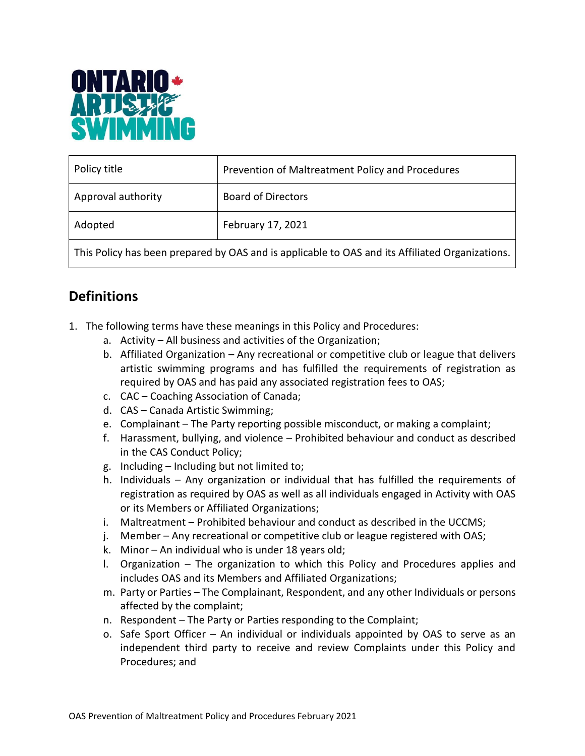

| Policy title                                                                                    | Prevention of Maltreatment Policy and Procedures |  |
|-------------------------------------------------------------------------------------------------|--------------------------------------------------|--|
| Approval authority                                                                              | <b>Board of Directors</b>                        |  |
| Adopted                                                                                         | February 17, 2021                                |  |
| This Policy has been prepared by OAS and is applicable to OAS and its Affiliated Organizations. |                                                  |  |

# **Definitions**

- 1. The following terms have these meanings in this Policy and Procedures:
	- a. Activity All business and activities of the Organization;
	- b. Affiliated Organization Any recreational or competitive club or league that delivers artistic swimming programs and has fulfilled the requirements of registration as required by OAS and has paid any associated registration fees to OAS;
	- c. CAC Coaching Association of Canada;
	- d. CAS Canada Artistic Swimming;
	- e. Complainant The Party reporting possible misconduct, or making a complaint;
	- f. Harassment, bullying, and violence Prohibited behaviour and conduct as described in the CAS Conduct Policy;
	- g. Including Including but not limited to;
	- h. Individuals Any organization or individual that has fulfilled the requirements of registration as required by OAS as well as all individuals engaged in Activity with OAS or its Members or Affiliated Organizations;
	- i. Maltreatment Prohibited behaviour and conduct as described in the UCCMS;
	- j. Member Any recreational or competitive club or league registered with OAS;
	- k. Minor An individual who is under 18 years old;
	- l. Organization The organization to which this Policy and Procedures applies and includes OAS and its Members and Affiliated Organizations;
	- m. Party or Parties The Complainant, Respondent, and any other Individuals or persons affected by the complaint;
	- n. Respondent The Party or Parties responding to the Complaint;
	- o. Safe Sport Officer An individual or individuals appointed by OAS to serve as an independent third party to receive and review Complaints under this Policy and Procedures; and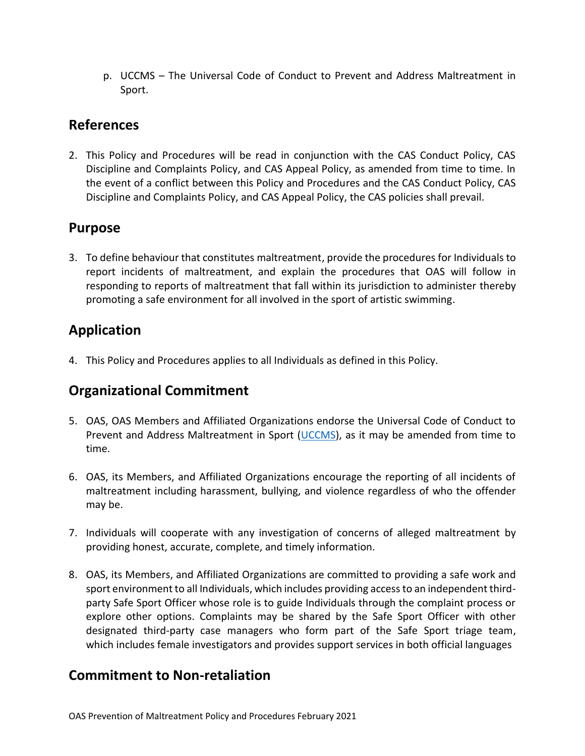p. UCCMS – The Universal Code of Conduct to Prevent and Address Maltreatment in Sport.

### **References**

2. This Policy and Procedures will be read in conjunction with the CAS Conduct Policy, CAS Discipline and Complaints Policy, and CAS Appeal Policy, as amended from time to time. In the event of a conflict between this Policy and Procedures and the CAS Conduct Policy, CAS Discipline and Complaints Policy, and CAS Appeal Policy, the CAS policies shall prevail.

### **Purpose**

3. To define behaviour that constitutes maltreatment, provide the procedures for Individuals to report incidents of maltreatment, and explain the procedures that OAS will follow in responding to reports of maltreatment that fall within its jurisdiction to administer thereby promoting a safe environment for all involved in the sport of artistic swimming.

### **Application**

4. This Policy and Procedures applies to all Individuals as defined in this Policy.

### **Organizational Commitment**

- 5. OAS, OAS Members and Affiliated Organizations endorse the Universal Code of Conduct to Prevent and Address Maltreatment in Sport [\(UCCMS\)](https://sirc.ca/canadian-sport-policies/), as it may be amended from time to time.
- 6. OAS, its Members, and Affiliated Organizations encourage the reporting of all incidents of maltreatment including harassment, bullying, and violence regardless of who the offender may be.
- 7. Individuals will cooperate with any investigation of concerns of alleged maltreatment by providing honest, accurate, complete, and timely information.
- 8. OAS, its Members, and Affiliated Organizations are committed to providing a safe work and sport environment to all Individuals, which includes providing access to an independent thirdparty Safe Sport Officer whose role is to guide Individuals through the complaint process or explore other options. Complaints may be shared by the Safe Sport Officer with other designated third-party case managers who form part of the Safe Sport triage team, which includes female investigators and provides support services in both official languages

### **Commitment to Non-retaliation**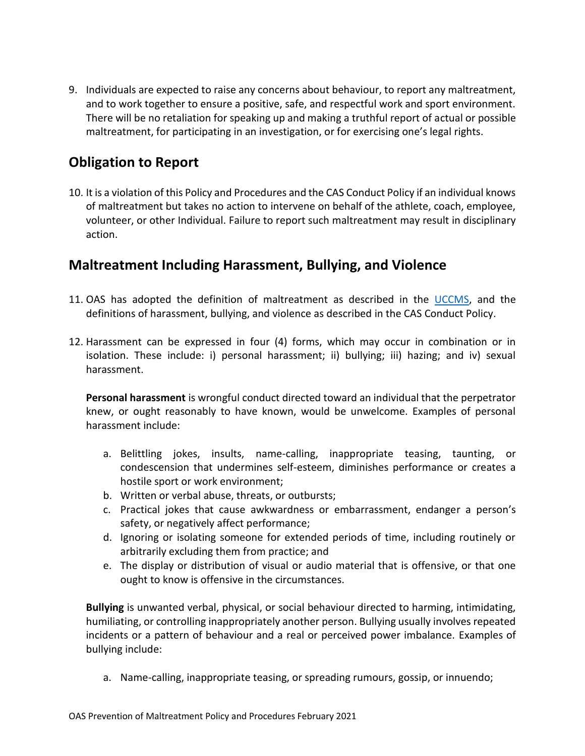9. Individuals are expected to raise any concerns about behaviour, to report any maltreatment, and to work together to ensure a positive, safe, and respectful work and sport environment. There will be no retaliation for speaking up and making a truthful report of actual or possible maltreatment, for participating in an investigation, or for exercising one's legal rights.

## **Obligation to Report**

10. It is a violation of this Policy and Procedures and the CAS Conduct Policy if an individual knows of maltreatment but takes no action to intervene on behalf of the athlete, coach, employee, volunteer, or other Individual. Failure to report such maltreatment may result in disciplinary action.

### **Maltreatment Including Harassment, Bullying, and Violence**

- 11. OAS has adopted the definition of maltreatment as described in the [UCCMS,](https://sirc.ca/canadian-sport-policies/) and the definitions of harassment, bullying, and violence as described in the CAS Conduct Policy.
- 12. Harassment can be expressed in four (4) forms, which may occur in combination or in isolation. These include: i) personal harassment; ii) bullying; iii) hazing; and iv) sexual harassment.

**Personal harassment** is wrongful conduct directed toward an individual that the perpetrator knew, or ought reasonably to have known, would be unwelcome. Examples of personal harassment include:

- a. Belittling jokes, insults, name-calling, inappropriate teasing, taunting, or condescension that undermines self-esteem, diminishes performance or creates a hostile sport or work environment;
- b. Written or verbal abuse, threats, or outbursts;
- c. Practical jokes that cause awkwardness or embarrassment, endanger a person's safety, or negatively affect performance;
- d. Ignoring or isolating someone for extended periods of time, including routinely or arbitrarily excluding them from practice; and
- e. The display or distribution of visual or audio material that is offensive, or that one ought to know is offensive in the circumstances.

**Bullying** is unwanted verbal, physical, or social behaviour directed to harming, intimidating, humiliating, or controlling inappropriately another person. Bullying usually involves repeated incidents or a pattern of behaviour and a real or perceived power imbalance. Examples of bullying include:

a. Name-calling, inappropriate teasing, or spreading rumours, gossip, or innuendo;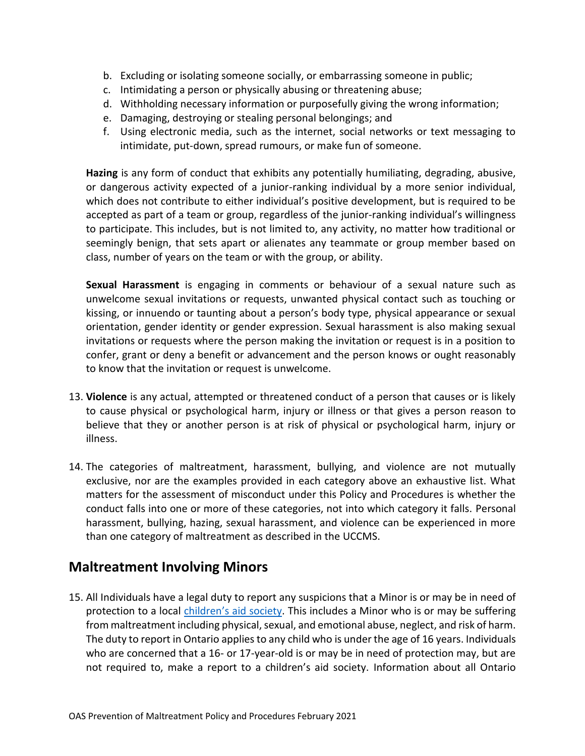- b. Excluding or isolating someone socially, or embarrassing someone in public;
- c. Intimidating a person or physically abusing or threatening abuse;
- d. Withholding necessary information or purposefully giving the wrong information;
- e. Damaging, destroying or stealing personal belongings; and
- f. Using electronic media, such as the internet, social networks or text messaging to intimidate, put-down, spread rumours, or make fun of someone.

**Hazing** is any form of conduct that exhibits any potentially humiliating, degrading, abusive, or dangerous activity expected of a junior-ranking individual by a more senior individual, which does not contribute to either individual's positive development, but is required to be accepted as part of a team or group, regardless of the junior-ranking individual's willingness to participate. This includes, but is not limited to, any activity, no matter how traditional or seemingly benign, that sets apart or alienates any teammate or group member based on class, number of years on the team or with the group, or ability.

**Sexual Harassment** is engaging in comments or behaviour of a sexual nature such as unwelcome sexual invitations or requests, unwanted physical contact such as touching or kissing, or innuendo or taunting about a person's body type, physical appearance or sexual orientation, gender identity or gender expression. Sexual harassment is also making sexual invitations or requests where the person making the invitation or request is in a position to confer, grant or deny a benefit or advancement and the person knows or ought reasonably to know that the invitation or request is unwelcome.

- 13. **Violence** is any actual, attempted or threatened conduct of a person that causes or is likely to cause physical or psychological harm, injury or illness or that gives a person reason to believe that they or another person is at risk of physical or psychological harm, injury or illness.
- 14. The categories of maltreatment, harassment, bullying, and violence are not mutually exclusive, nor are the examples provided in each category above an exhaustive list. What matters for the assessment of misconduct under this Policy and Procedures is whether the conduct falls into one or more of these categories, not into which category it falls. Personal harassment, bullying, hazing, sexual harassment, and violence can be experienced in more than one category of maltreatment as described in the UCCMS.

### **Maltreatment Involving Minors**

15. All Individuals have a legal duty to report any suspicions that a Minor is or may be in need of protection to a local [children's aid society](http://www.children.gov.on.ca/htdocs/English/childrensaid/reportingabuse/CASLocations.aspx). This includes a Minor who is or may be suffering from maltreatment including physical, sexual, and emotional abuse, neglect, and risk of harm. The duty to report in Ontario applies to any child who is under the age of 16 years. Individuals who are concerned that a 16- or 17-year-old is or may be in need of protection may, but are not required to, make a report to a children's aid society. Information about all Ontario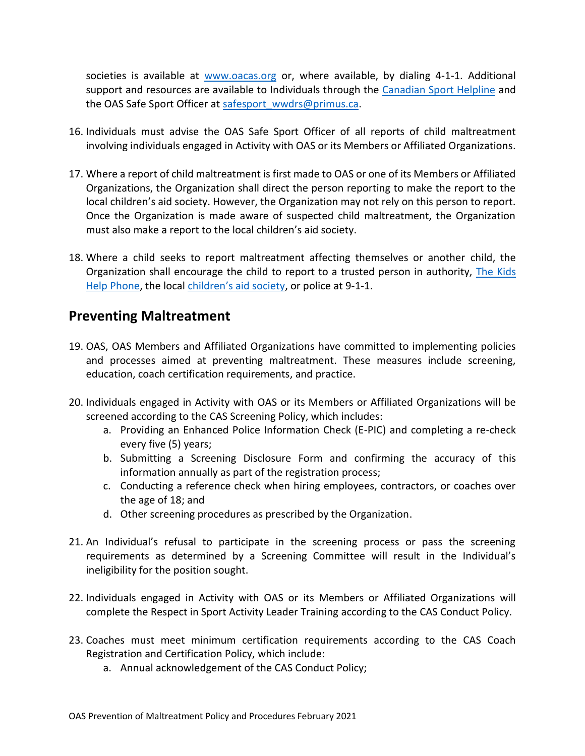societies is available at [www.oacas.org](http://www.oacas.org/) or, where available, by dialing 4-1-1. Additional support and resources are available to Individuals through the [Canadian Sport Helpline](https://abuse-free-sport.ca/) and the OAS Safe Sport Officer at [safesport\\_wwdrs@primus.ca.](mailto:safesport_wwdrs@primus.ca)

- 16. Individuals must advise the OAS Safe Sport Officer of all reports of child maltreatment involving individuals engaged in Activity with OAS or its Members or Affiliated Organizations.
- 17. Where a report of child maltreatment is first made to OAS or one of its Members or Affiliated Organizations, the Organization shall direct the person reporting to make the report to the local children's aid society. However, the Organization may not rely on this person to report. Once the Organization is made aware of suspected child maltreatment, the Organization must also make a report to the local children's aid society.
- 18. Where a child seeks to report maltreatment affecting themselves or another child, the Organization shall encourage the child to report to a trusted person in authority, [The Kids](https://kidshelpphone.ca/)  [Help Phone,](https://kidshelpphone.ca/) the local [children's aid society](http://www.children.gov.on.ca/htdocs/English/childrensaid/reportingabuse/CASLocations.aspx), or police at 9-1-1.

### **Preventing Maltreatment**

- 19. OAS, OAS Members and Affiliated Organizations have committed to implementing policies and processes aimed at preventing maltreatment. These measures include screening, education, coach certification requirements, and practice.
- 20. Individuals engaged in Activity with OAS or its Members or Affiliated Organizations will be screened according to the CAS Screening Policy, which includes:
	- a. Providing an Enhanced Police Information Check (E-PIC) and completing a re-check every five (5) years;
	- b. Submitting a Screening Disclosure Form and confirming the accuracy of this information annually as part of the registration process;
	- c. Conducting a reference check when hiring employees, contractors, or coaches over the age of 18; and
	- d. Other screening procedures as prescribed by the Organization.
- 21. An Individual's refusal to participate in the screening process or pass the screening requirements as determined by a Screening Committee will result in the Individual's ineligibility for the position sought.
- 22. Individuals engaged in Activity with OAS or its Members or Affiliated Organizations will complete the Respect in Sport Activity Leader Training according to the CAS Conduct Policy.
- 23. Coaches must meet minimum certification requirements according to the CAS Coach Registration and Certification Policy, which include:
	- a. Annual acknowledgement of the CAS Conduct Policy;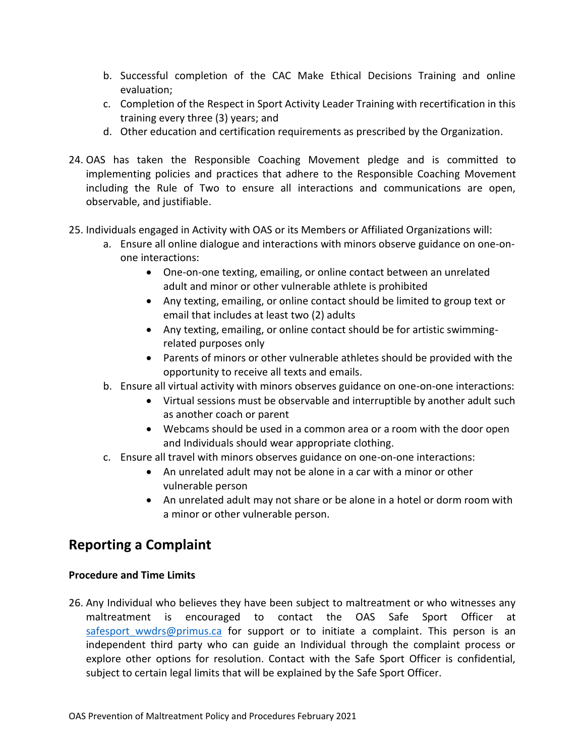- b. Successful completion of the CAC Make Ethical Decisions Training and online evaluation;
- c. Completion of the Respect in Sport Activity Leader Training with recertification in this training every three (3) years; and
- d. Other education and certification requirements as prescribed by the Organization.
- 24. OAS has taken the Responsible Coaching Movement pledge and is committed to implementing policies and practices that adhere to the Responsible Coaching Movement including the Rule of Two to ensure all interactions and communications are open, observable, and justifiable.
- 25. Individuals engaged in Activity with OAS or its Members or Affiliated Organizations will:
	- a. Ensure all online dialogue and interactions with minors observe guidance on one-onone interactions:
		- One-on-one texting, emailing, or online contact between an unrelated adult and minor or other vulnerable athlete is prohibited
		- Any texting, emailing, or online contact should be limited to group text or email that includes at least two (2) adults
		- Any texting, emailing, or online contact should be for artistic swimmingrelated purposes only
		- Parents of minors or other vulnerable athletes should be provided with the opportunity to receive all texts and emails.
	- b. Ensure all virtual activity with minors observes guidance on one-on-one interactions:
		- Virtual sessions must be observable and interruptible by another adult such as another coach or parent
		- Webcams should be used in a common area or a room with the door open and Individuals should wear appropriate clothing.
	- c. Ensure all travel with minors observes guidance on one-on-one interactions:
		- An unrelated adult may not be alone in a car with a minor or other vulnerable person
		- An unrelated adult may not share or be alone in a hotel or dorm room with a minor or other vulnerable person.

### **Reporting a Complaint**

#### **Procedure and Time Limits**

26. Any Individual who believes they have been subject to maltreatment or who witnesses any maltreatment is encouraged to contact the OAS Safe Sport Officer at safesport wwdrs@primus.ca for support or to initiate a complaint. This person is an independent third party who can guide an Individual through the complaint process or explore other options for resolution. Contact with the Safe Sport Officer is confidential, subject to certain legal limits that will be explained by the Safe Sport Officer.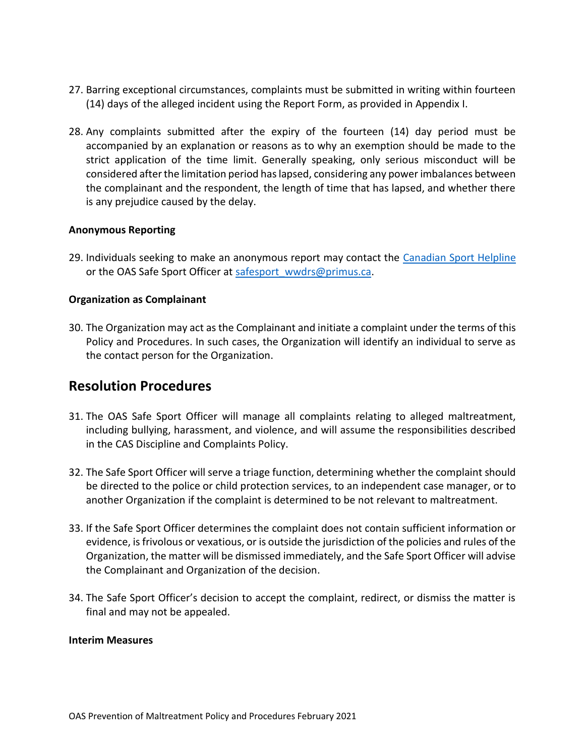- 27. Barring exceptional circumstances, complaints must be submitted in writing within fourteen (14) days of the alleged incident using the Report Form, as provided in Appendix I.
- 28. Any complaints submitted after the expiry of the fourteen (14) day period must be accompanied by an explanation or reasons as to why an exemption should be made to the strict application of the time limit. Generally speaking, only serious misconduct will be considered after the limitation period has lapsed, considering any power imbalances between the complainant and the respondent, the length of time that has lapsed, and whether there is any prejudice caused by the delay.

#### **Anonymous Reporting**

29. Individuals seeking to make an anonymous report may contact the [Canadian Sport Helpline](https://abuse-free-sport.ca/) or the OAS Safe Sport Officer at safesport wwdrs@primus.ca.

#### **Organization as Complainant**

30. The Organization may act as the Complainant and initiate a complaint under the terms of this Policy and Procedures. In such cases, the Organization will identify an individual to serve as the contact person for the Organization.

### **Resolution Procedures**

- 31. The OAS Safe Sport Officer will manage all complaints relating to alleged maltreatment, including bullying, harassment, and violence, and will assume the responsibilities described in the CAS Discipline and Complaints Policy.
- 32. The Safe Sport Officer will serve a triage function, determining whether the complaint should be directed to the police or child protection services, to an independent case manager, or to another Organization if the complaint is determined to be not relevant to maltreatment.
- 33. If the Safe Sport Officer determines the complaint does not contain sufficient information or evidence, is frivolous or vexatious, or is outside the jurisdiction of the policies and rules of the Organization, the matter will be dismissed immediately, and the Safe Sport Officer will advise the Complainant and Organization of the decision.
- 34. The Safe Sport Officer's decision to accept the complaint, redirect, or dismiss the matter is final and may not be appealed.

#### **Interim Measures**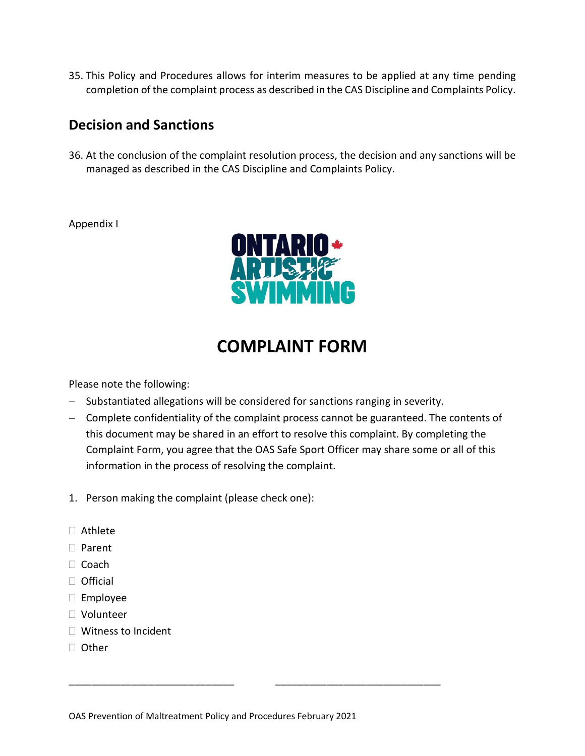35. This Policy and Procedures allows for interim measures to be applied at any time pending completion of the complaint process as described in the CAS Discipline and Complaints Policy.

### **Decision and Sanctions**

36. At the conclusion of the complaint resolution process, the decision and any sanctions will be managed as described in the CAS Discipline and Complaints Policy.

#### Appendix I



# **COMPLAINT FORM**

Please note the following:

- − Substantiated allegations will be considered for sanctions ranging in severity.
- − Complete confidentiality of the complaint process cannot be guaranteed. The contents of this document may be shared in an effort to resolve this complaint. By completing the Complaint Form, you agree that the OAS Safe Sport Officer may share some or all of this information in the process of resolving the complaint.
- 1. Person making the complaint (please check one):
- Athlete
- □ Parent
- $\Box$  Coach
- $\Box$  Official
- $\square$  Employee
- Volunteer
- □ Witness to Incident
- □ Other

\_\_\_\_\_\_\_\_\_\_\_\_\_\_\_\_\_\_\_\_\_\_\_\_\_\_\_\_\_ \_\_\_\_\_\_\_\_\_\_\_\_\_\_\_\_\_\_\_\_\_\_\_\_\_\_\_\_\_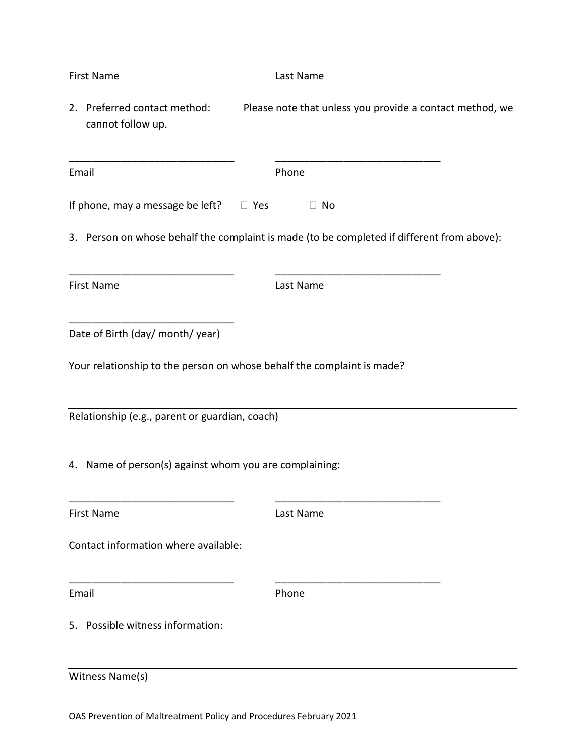|                                                                                            | <b>First Name</b>                                 |  | Last Name                                                |  |
|--------------------------------------------------------------------------------------------|---------------------------------------------------|--|----------------------------------------------------------|--|
|                                                                                            | 2. Preferred contact method:<br>cannot follow up. |  | Please note that unless you provide a contact method, we |  |
|                                                                                            | Email                                             |  | Phone                                                    |  |
|                                                                                            | If phone, may a message be left? $\Box$ Yes       |  | $\Box$ No                                                |  |
| 3. Person on whose behalf the complaint is made (to be completed if different from above): |                                                   |  |                                                          |  |
|                                                                                            | <b>First Name</b>                                 |  | Last Name                                                |  |
|                                                                                            | Date of Birth (day/ month/ year)                  |  |                                                          |  |
| Your relationship to the person on whose behalf the complaint is made?                     |                                                   |  |                                                          |  |
| Relationship (e.g., parent or guardian, coach)                                             |                                                   |  |                                                          |  |
| 4. Name of person(s) against whom you are complaining:                                     |                                                   |  |                                                          |  |
|                                                                                            | <b>First Name</b>                                 |  | Last Name                                                |  |
|                                                                                            | Contact information where available:              |  |                                                          |  |
|                                                                                            | Email                                             |  | Phone                                                    |  |
|                                                                                            | 5. Possible witness information:                  |  |                                                          |  |
|                                                                                            | Witness Name(s)                                   |  |                                                          |  |

OAS Prevention of Maltreatment Policy and Procedures February 2021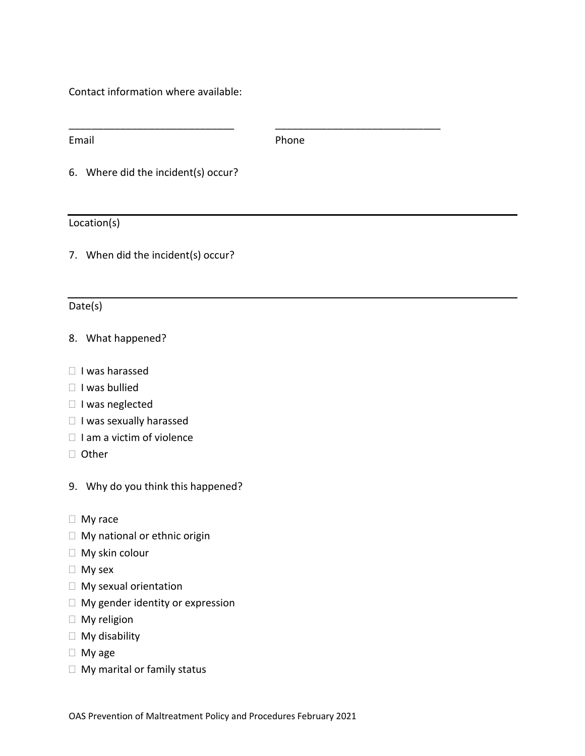Contact information where available:

Email **Email Email** 

\_\_\_\_\_\_\_\_\_\_\_\_\_\_\_\_\_\_\_\_\_\_\_\_\_\_\_\_\_ \_\_\_\_\_\_\_\_\_\_\_\_\_\_\_\_\_\_\_\_\_\_\_\_\_\_\_\_\_

6. Where did the incident(s) occur?

#### Location(s)

7. When did the incident(s) occur?

#### Date(s)

#### 8. What happened?

- $\Box$  I was harassed
- $\Box$  I was bullied
- □ I was neglected
- $\Box$  I was sexually harassed
- $\Box$  I am a victim of violence
- □ Other
- 9. Why do you think this happened?
- □ My race
- □ My national or ethnic origin
- □ My skin colour
- My sex
- □ My sexual orientation
- □ My gender identity or expression
- $\Box$  My religion
- My disability
- My age
- □ My marital or family status